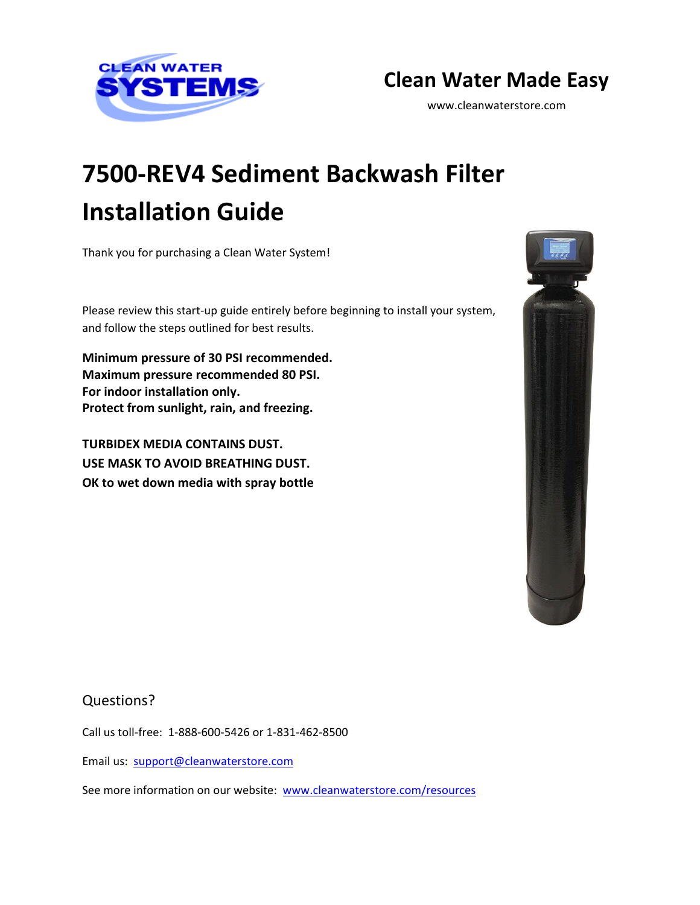

## **Clean Water Made Easy**

www.cleanwaterstore.com

# **7500-REV4 Sediment Backwash Filter Installation Guide**

Thank you for purchasing a Clean Water System!

Please review this start-up guide entirely before beginning to install your system, and follow the steps outlined for best results.

**Minimum pressure of 30 PSI recommended. Maximum pressure recommended 80 PSI. For indoor installation only. Protect from sunlight, rain, and freezing.**

**TURBIDEX MEDIA CONTAINS DUST. USE MASK TO AVOID BREATHING DUST. OK to wet down media with spray bottle**



Questions?

Call us toll-free: 1-888-600-5426 or 1-831-462-8500

Email us: [support@cleanwaterstore.com](mailto:support@cleanwaterstore.com)

See more information on our website: [www.cleanwaterstore.com/resources](http://www.cleanwaterstore.com/resources)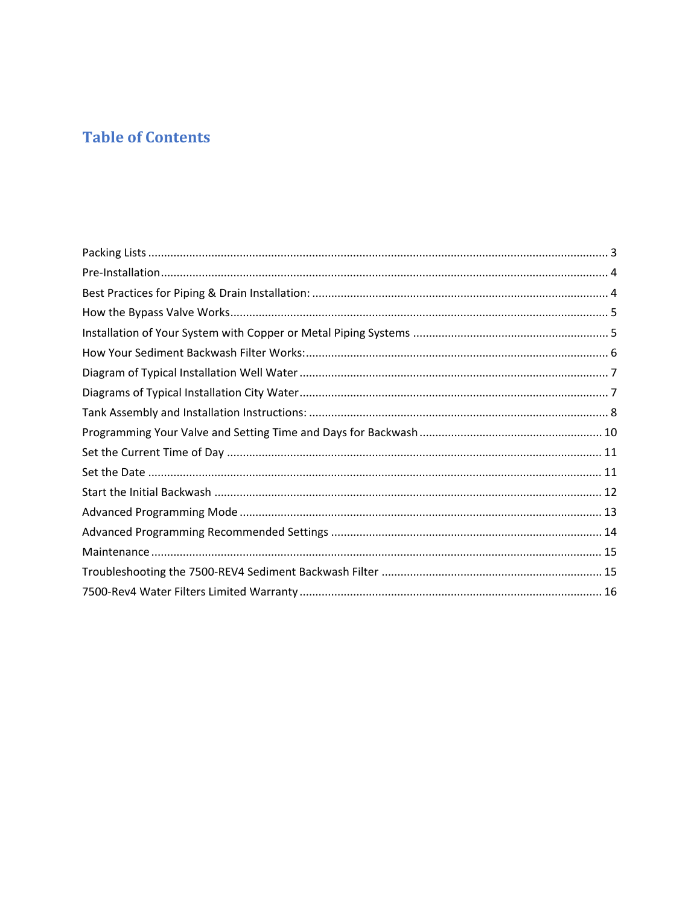## **Table of Contents**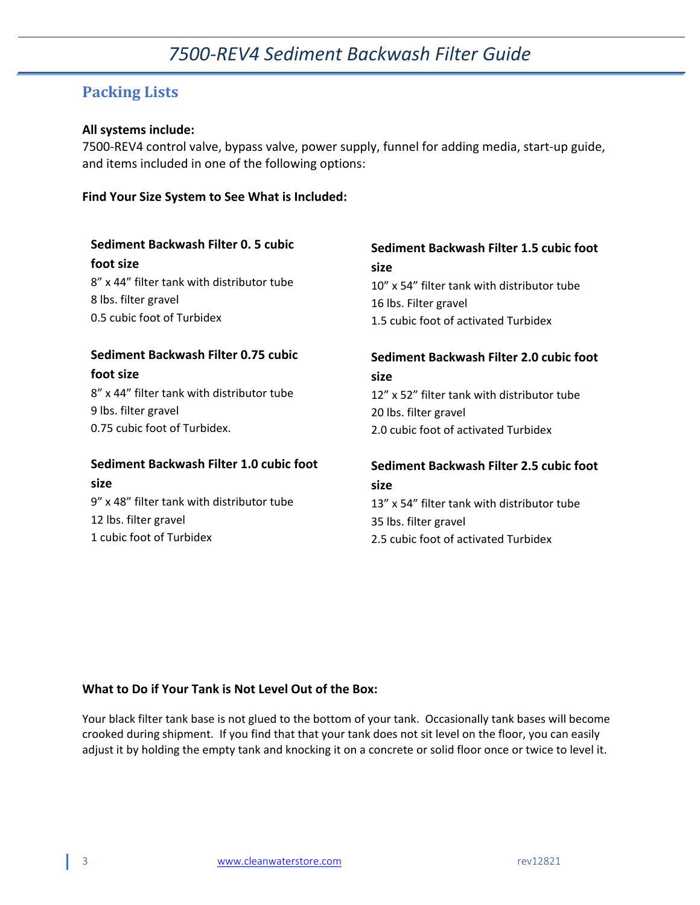### <span id="page-2-0"></span>**Packing Lists**

### **All systems include:**

7500-REV4 control valve, bypass valve, power supply, funnel for adding media, start-up guide, and items included in one of the following options:

#### **Find Your Size System to See What is Included:**

| Sediment Backwash Filter 0. 5 cubic<br>foot size<br>8" x 44" filter tank with distributor tube<br>8 lbs. filter gravel<br>0.5 cubic foot of Turbidex | Sediment Backwash Filter 1.5 cubic foot<br>size<br>10" x 54" filter tank with distributor tube<br>16 lbs. Filter gravel<br>1.5 cubic foot of activated Turbidex |
|------------------------------------------------------------------------------------------------------------------------------------------------------|-----------------------------------------------------------------------------------------------------------------------------------------------------------------|
| Sediment Backwash Filter 0.75 cubic                                                                                                                  | Sediment Backwash Filter 2.0 cubic foot                                                                                                                         |
| foot size                                                                                                                                            | size                                                                                                                                                            |
| 8" x 44" filter tank with distributor tube                                                                                                           | 12" x 52" filter tank with distributor tube                                                                                                                     |
| 9 lbs. filter gravel                                                                                                                                 | 20 lbs. filter gravel                                                                                                                                           |
| 0.75 cubic foot of Turbidex.                                                                                                                         | 2.0 cubic foot of activated Turbidex                                                                                                                            |
| Sediment Backwash Filter 1.0 cubic foot                                                                                                              | Sediment Backwash Filter 2.5 cubic foot                                                                                                                         |
| size                                                                                                                                                 | size                                                                                                                                                            |
| 9" x 48" filter tank with distributor tube                                                                                                           | 13" x 54" filter tank with distributor tube                                                                                                                     |
| 12 lbs. filter gravel                                                                                                                                | 35 lbs. filter gravel                                                                                                                                           |
| 1 cubic foot of Turbidex                                                                                                                             | 2.5 cubic foot of activated Turbidex                                                                                                                            |

#### **What to Do if Your Tank is Not Level Out of the Box:**

Your black filter tank base is not glued to the bottom of your tank. Occasionally tank bases will become crooked during shipment. If you find that that your tank does not sit level on the floor, you can easily adjust it by holding the empty tank and knocking it on a concrete or solid floor once or twice to level it.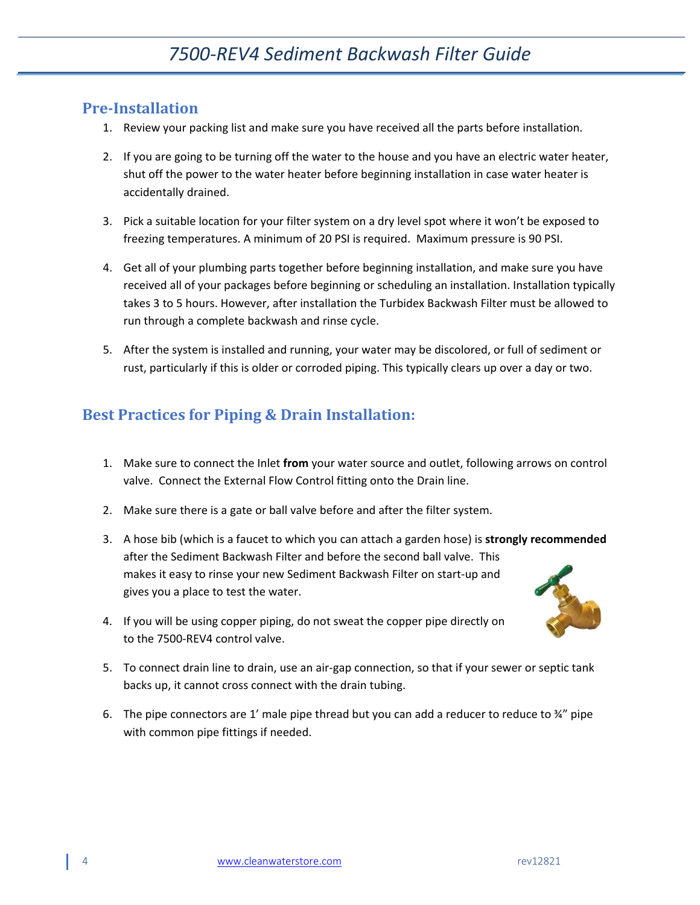### <span id="page-3-0"></span>**Pre-Installation**

- 1. Review your packing list and make sure you have received all the parts before installation.
- 2. If you are going to be turning off the water to the house and you have an electric water heater, shut off the power to the water heater before beginning installation in case water heater is accidentally drained.
- 3. Pick a suitable location for your filter system on a dry level spot where it won't be exposed to freezing temperatures. A minimum of 20 PSI is required. Maximum pressure is 90 PSI.
- 4. Get all of your plumbing parts together before beginning installation, and make sure you have received all of your packages before beginning or scheduling an installation. Installation typically takes 3 to 5 hours. However, after installation the Turbidex Backwash Filter must be allowed to run through a complete backwash and rinse cycle.
- 5. After the system is installed and running, your water may be discolored, or full of sediment or rust, particularly if this is older or corroded piping. This typically clears up over a day or two.

## <span id="page-3-1"></span>**Best Practices for Piping & Drain Installation:**

- 1. Make sure to connect the Inlet **from** your water source and outlet, following arrows on control valve. Connect the External Flow Control fitting onto the Drain line.
- 2. Make sure there is a gate or ball valve before and after the filter system.
- 3. A hose bib (which is a faucet to which you can attach a garden hose) is **strongly recommended** after the Sediment Backwash Filter and before the second ball valve. This makes it easy to rinse your new Sediment Backwash Filter on start-up and gives you a place to test the water.
- 4. If you will be using copper piping, do not sweat the copper pipe directly on to the 7500-REV4 control valve.
- 5. To connect drain line to drain, use an air-gap connection, so that if your sewer or septic tank backs up, it cannot cross connect with the drain tubing.
- 6. The pipe connectors are 1' male pipe thread but you can add a reducer to reduce to  $\frac{3}{4}$ " pipe with common pipe fittings if needed.

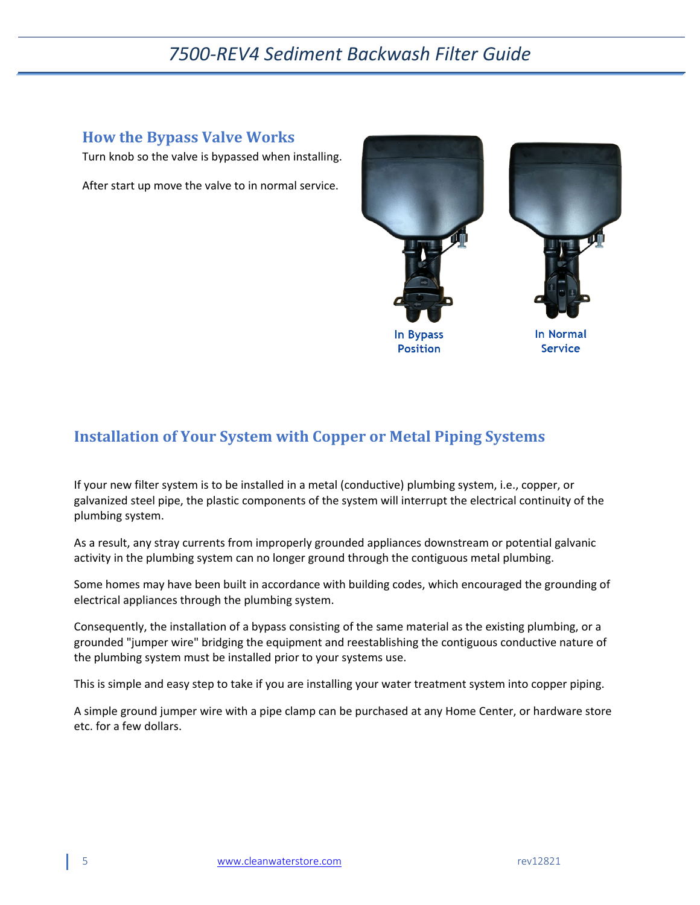### <span id="page-4-0"></span>**How the Bypass Valve Works**

Turn knob so the valve is bypassed when installing.

After start up move the valve to in normal service.



## <span id="page-4-1"></span>**Installation of Your System with Copper or Metal Piping Systems**

If your new filter system is to be installed in a metal (conductive) plumbing system, i.e., copper, or galvanized steel pipe, the plastic components of the system will interrupt the electrical continuity of the plumbing system.

As a result, any stray currents from improperly grounded appliances downstream or potential galvanic activity in the plumbing system can no longer ground through the contiguous metal plumbing.

Some homes may have been built in accordance with building codes, which encouraged the grounding of electrical appliances through the plumbing system.

Consequently, the installation of a bypass consisting of the same material as the existing plumbing, or a grounded "jumper wire" bridging the equipment and reestablishing the contiguous conductive nature of the plumbing system must be installed prior to your systems use.

This is simple and easy step to take if you are installing your water treatment system into copper piping.

A simple ground jumper wire with a pipe clamp can be purchased at any Home Center, or hardware store etc. for a few dollars.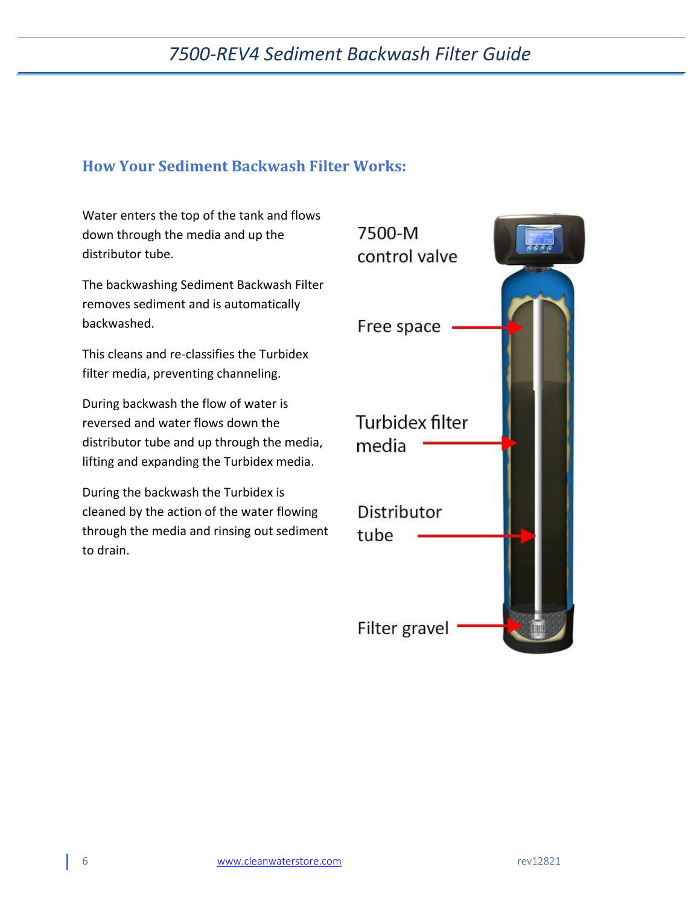### <span id="page-5-0"></span>**How Your Sediment Backwash Filter Works:**

Water enters the top of the tank and flows down through the media and up the distributor tube.

The backwashing Sediment Backwash Filter removes sediment and is automatically backwashed.

This cleans and re-classifies the Turbidex filter media, preventing channeling.

During backwash the flow of water is reversed and water flows down the distributor tube and up through the media, lifting and expanding the Turbidex media.

During the backwash the Turbidex is cleaned by the action of the water flowing through the media and rinsing out sediment to drain.

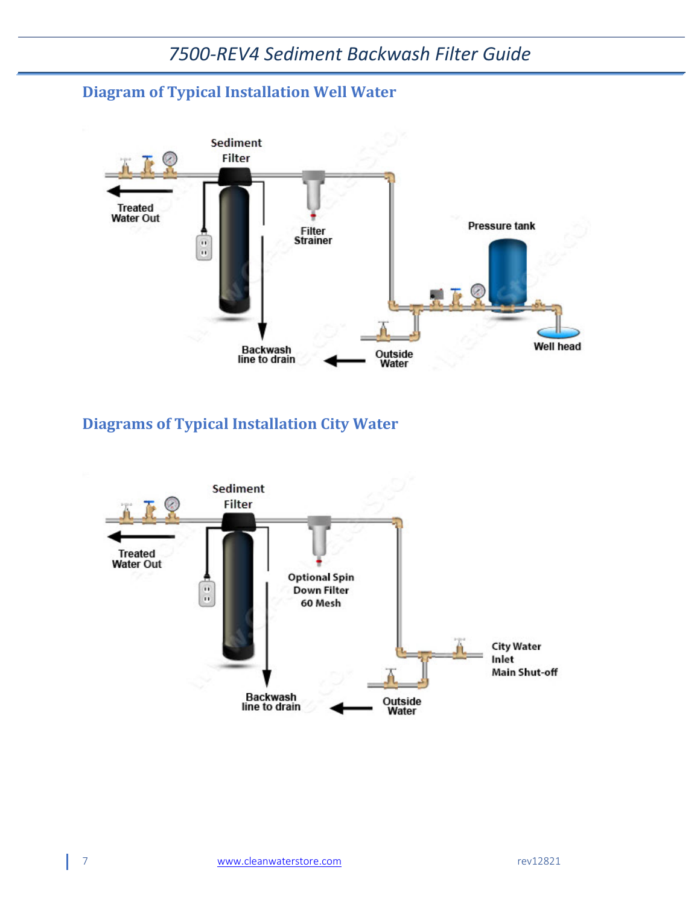## <span id="page-6-0"></span>**Diagram of Typical Installation Well Water**



## <span id="page-6-1"></span>**Diagrams of Typical Installation City Water**

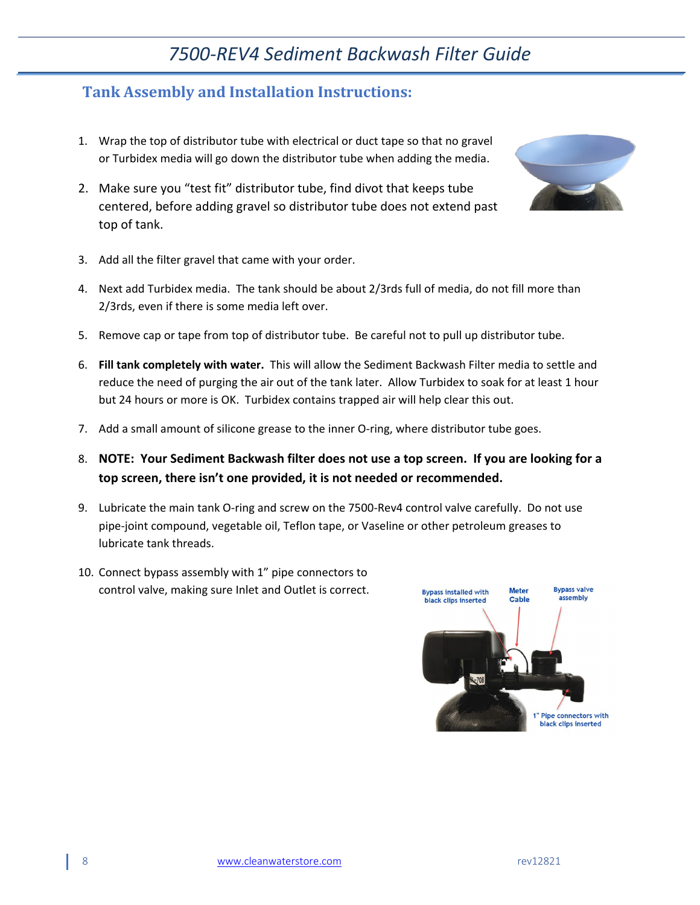## <span id="page-7-0"></span>**Tank Assembly and Installation Instructions:**

- 1. Wrap the top of distributor tube with electrical or duct tape so that no gravel or Turbidex media will go down the distributor tube when adding the media.
- 2. Make sure you "test fit" distributor tube, find divot that keeps tube centered, before adding gravel so distributor tube does not extend past top of tank.



- 3. Add all the filter gravel that came with your order.
- 4. Next add Turbidex media. The tank should be about 2/3rds full of media, do not fill more than 2/3rds, even if there is some media left over.
- 5. Remove cap or tape from top of distributor tube. Be careful not to pull up distributor tube.
- 6. **Fill tank completely with water.** This will allow the Sediment Backwash Filter media to settle and reduce the need of purging the air out of the tank later. Allow Turbidex to soak for at least 1 hour but 24 hours or more is OK. Turbidex contains trapped air will help clear this out.
- 7. Add a small amount of silicone grease to the inner O-ring, where distributor tube goes.
- 8. **NOTE: Your Sediment Backwash filter does not use a top screen. If you are looking for a top screen, there isn't one provided, it is not needed or recommended.**
- 9. Lubricate the main tank O-ring and screw on the 7500-Rev4 control valve carefully. Do not use pipe-joint compound, vegetable oil, Teflon tape, or Vaseline or other petroleum greases to lubricate tank threads.
- 10. Connect bypass assembly with 1" pipe connectors to control valve, making sure Inlet and Outlet is correct.

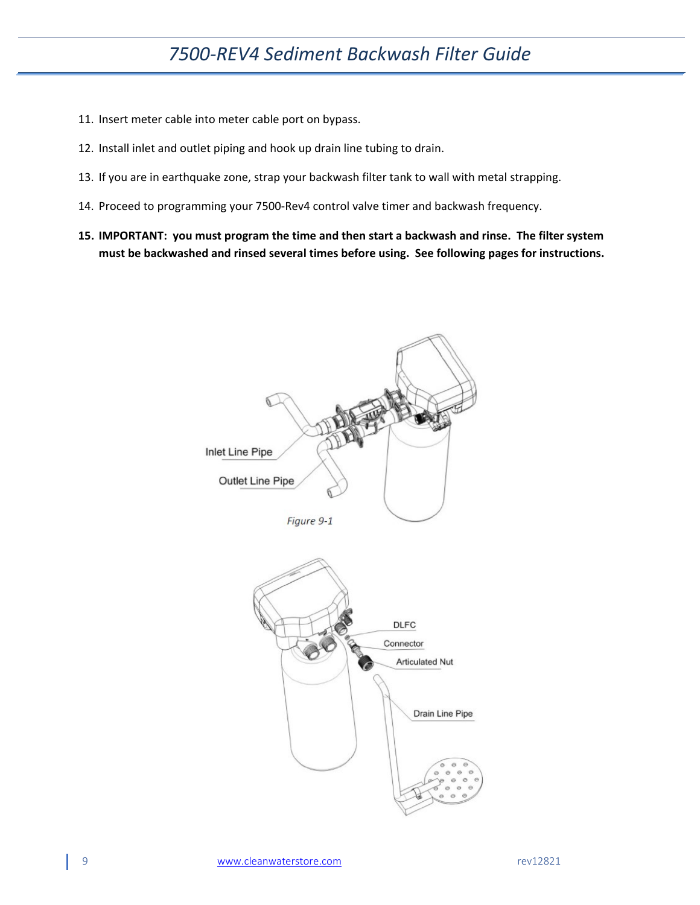- 11. Insert meter cable into meter cable port on bypass.
- 12. Install inlet and outlet piping and hook up drain line tubing to drain.
- 13. If you are in earthquake zone, strap your backwash filter tank to wall with metal strapping.
- 14. Proceed to programming your 7500-Rev4 control valve timer and backwash frequency.
- **15. IMPORTANT: you must program the time and then start a backwash and rinse. The filter system must be backwashed and rinsed several times before using. See following pages for instructions.**

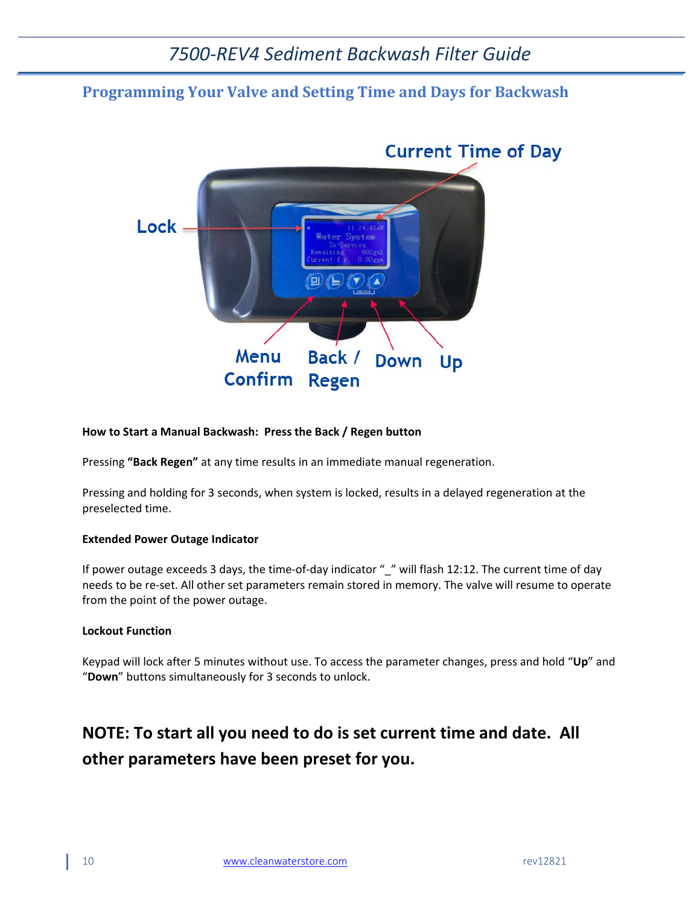### <span id="page-9-0"></span>**Programming Your Valve and Setting Time and Days for Backwash**



#### **How to Start a Manual Backwash: Press the Back / Regen button**

Pressing **"Back Regen"** at any time results in an immediate manual regeneration.

Pressing and holding for 3 seconds, when system is locked, results in a delayed regeneration at the preselected time.

#### **Extended Power Outage Indicator**

If power outage exceeds 3 days, the time-of-day indicator " " will flash 12:12. The current time of day needs to be re-set. All other set parameters remain stored in memory. The valve will resume to operate from the point of the power outage.

#### **Lockout Function**

Keypad will lock after 5 minutes without use. To access the parameter changes, press and hold "**Up**" and "**Down**" buttons simultaneously for 3 seconds to unlock.

## **NOTE: To start all you need to do is set current time and date. All other parameters have been preset for you.**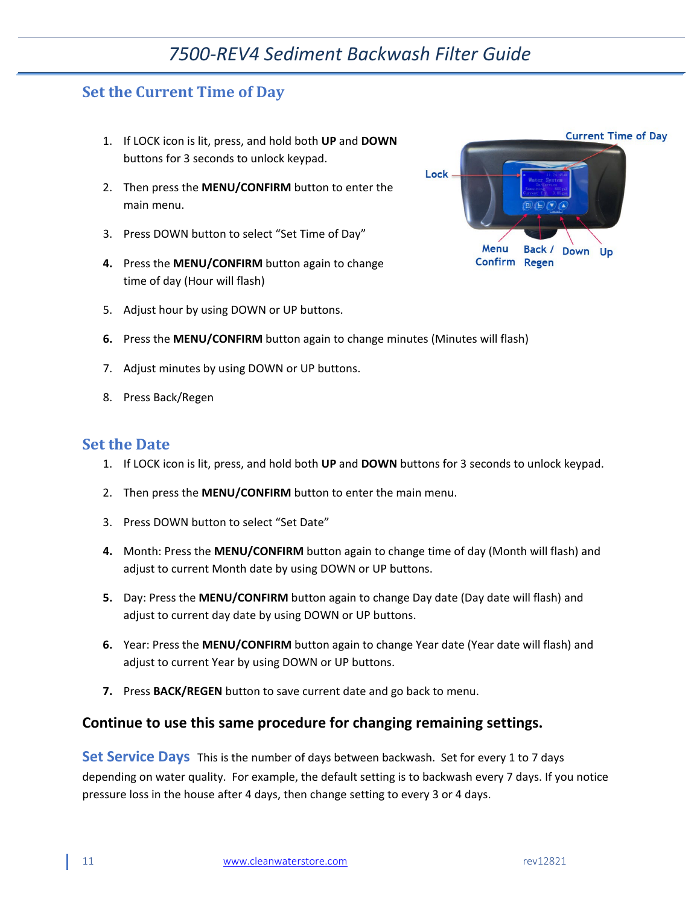### <span id="page-10-0"></span>**Set the Current Time of Day**

- 1. If LOCK icon is lit, press, and hold both **UP** and **DOWN** buttons for 3 seconds to unlock keypad.
- 2. Then press the **MENU/CONFIRM** button to enter the main menu.
- 3. Press DOWN button to select "Set Time of Day"
- **4.** Press the **MENU/CONFIRM** button again to change time of day (Hour will flash)
- 5. Adjust hour by using DOWN or UP buttons.
- **6.** Press the **MENU/CONFIRM** button again to change minutes (Minutes will flash)
- 7. Adjust minutes by using DOWN or UP buttons.
- 8. Press Back/Regen

#### <span id="page-10-1"></span>**Set the Date**

- 1. If LOCK icon is lit, press, and hold both **UP** and **DOWN** buttons for 3 seconds to unlock keypad.
- 2. Then press the **MENU/CONFIRM** button to enter the main menu.
- 3. Press DOWN button to select "Set Date"
- **4.** Month: Press the **MENU/CONFIRM** button again to change time of day (Month will flash) and adjust to current Month date by using DOWN or UP buttons.
- **5.** Day: Press the **MENU/CONFIRM** button again to change Day date (Day date will flash) and adjust to current day date by using DOWN or UP buttons.
- **6.** Year: Press the **MENU/CONFIRM** button again to change Year date (Year date will flash) and adjust to current Year by using DOWN or UP buttons.
- **7.** Press **BACK/REGEN** button to save current date and go back to menu.

### **Continue to use this same procedure for changing remaining settings.**

**Set Service Days** This is the number of days between backwash. Set for every 1 to 7 days depending on water quality. For example, the default setting is to backwash every 7 days. If you notice pressure loss in the house after 4 days, then change setting to every 3 or 4 days.

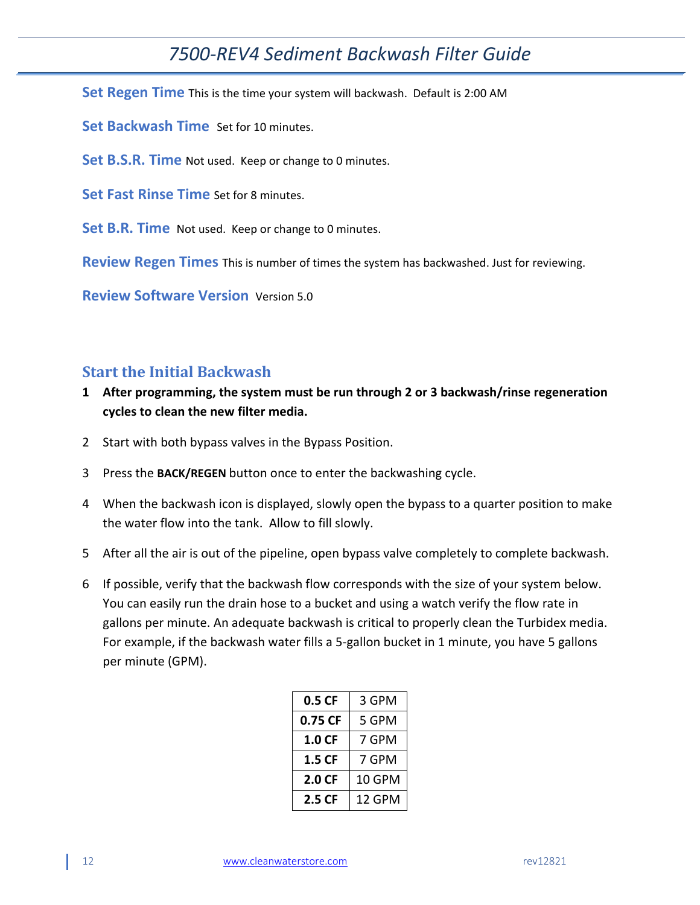**Set Regen Time** This is the time your system will backwash. Default is 2:00 AM

**Set Backwash Time** Set for 10 minutes.

**Set B.S.R. Time** Not used. Keep or change to 0 minutes.

**Set Fast Rinse Time** Set for 8 minutes.

**Set B.R. Time** Not used. Keep or change to 0 minutes.

**Review Regen Times** This is number of times the system has backwashed. Just for reviewing.

**Review Software Version** Version 5.0

### <span id="page-11-0"></span>**Start the Initial Backwash**

- **1 After programming, the system must be run through 2 or 3 backwash/rinse regeneration cycles to clean the new filter media.**
- 2 Start with both bypass valves in the Bypass Position.
- 3 Press the **BACK/REGEN** button once to enter the backwashing cycle.
- 4 When the backwash icon is displayed, slowly open the bypass to a quarter position to make the water flow into the tank. Allow to fill slowly.
- 5 After all the air is out of the pipeline, open bypass valve completely to complete backwash.
- 6 If possible, verify that the backwash flow corresponds with the size of your system below. You can easily run the drain hose to a bucket and using a watch verify the flow rate in gallons per minute. An adequate backwash is critical to properly clean the Turbidex media. For example, if the backwash water fills a 5-gallon bucket in 1 minute, you have 5 gallons per minute (GPM).

| 0.5 CF  | 3 GPM  |
|---------|--------|
| 0.75 CF | 5 GPM  |
| 1.0 CF  | 7 GPM  |
| 1.5 CF  | 7 GPM  |
| 2.0 CF  | 10 GPM |
| 2.5 CF  | 12 GPM |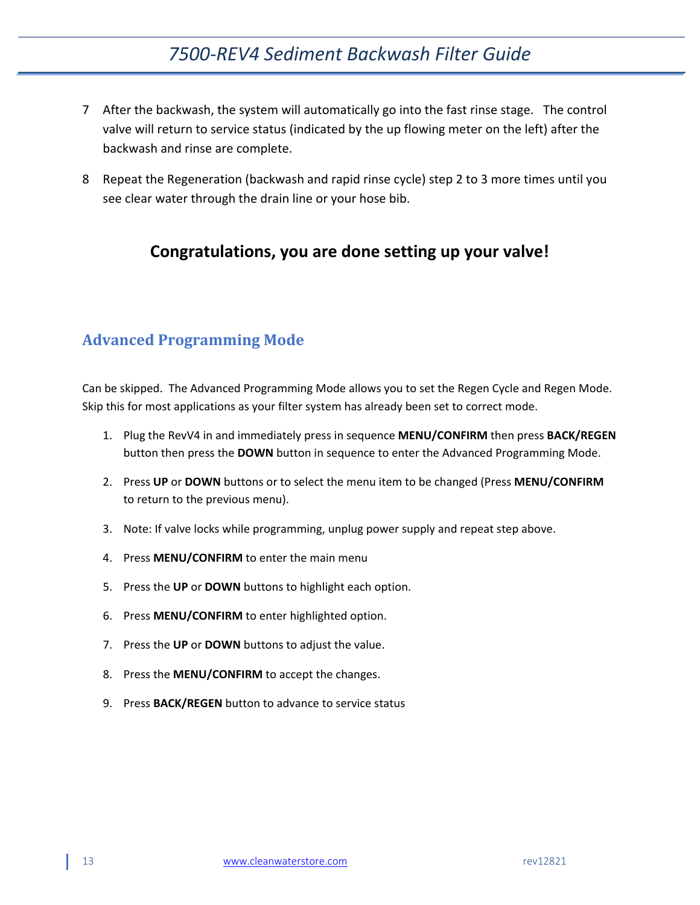- 7 After the backwash, the system will automatically go into the fast rinse stage. The control valve will return to service status (indicated by the up flowing meter on the left) after the backwash and rinse are complete.
- 8 Repeat the Regeneration (backwash and rapid rinse cycle) step 2 to 3 more times until you see clear water through the drain line or your hose bib.

## **Congratulations, you are done setting up your valve!**

## <span id="page-12-0"></span>**Advanced Programming Mode**

Can be skipped. The Advanced Programming Mode allows you to set the Regen Cycle and Regen Mode. Skip this for most applications as your filter system has already been set to correct mode.

- 1. Plug the RevV4 in and immediately press in sequence **MENU/CONFIRM** then press **BACK/REGEN**  button then press the **DOWN** button in sequence to enter the Advanced Programming Mode.
- 2. Press **UP** or **DOWN** buttons or to select the menu item to be changed (Press **MENU/CONFIRM**  to return to the previous menu).
- 3. Note: If valve locks while programming, unplug power supply and repeat step above.
- 4. Press **MENU/CONFIRM** to enter the main menu
- 5. Press the **UP** or **DOWN** buttons to highlight each option.
- 6. Press **MENU/CONFIRM** to enter highlighted option.
- 7. Press the **UP** or **DOWN** buttons to adjust the value.
- 8. Press the **MENU/CONFIRM** to accept the changes.
- 9. Press **BACK/REGEN** button to advance to service status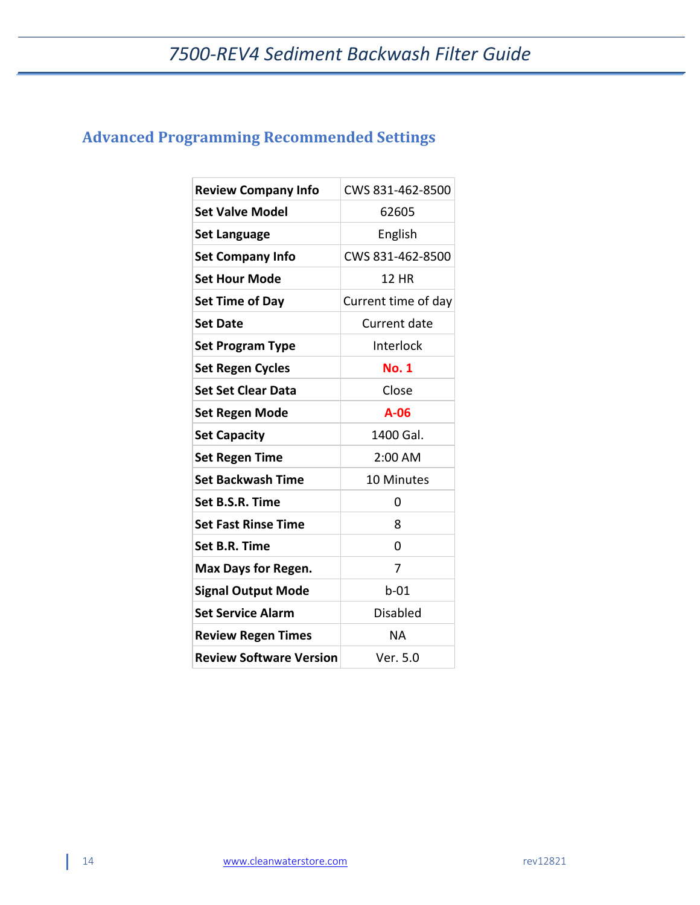## <span id="page-13-0"></span>**Advanced Programming Recommended Settings**

| <b>Review Company Info</b>     | CWS 831-462-8500    |
|--------------------------------|---------------------|
| <b>Set Valve Model</b>         | 62605               |
| <b>Set Language</b>            | English             |
| <b>Set Company Info</b>        | CWS 831-462-8500    |
| <b>Set Hour Mode</b>           | 12 HR               |
| <b>Set Time of Day</b>         | Current time of day |
| <b>Set Date</b>                | Current date        |
| <b>Set Program Type</b>        | Interlock           |
| <b>Set Regen Cycles</b>        | <b>No. 1</b>        |
| <b>Set Set Clear Data</b>      | Close               |
| <b>Set Regen Mode</b>          | $A-06$              |
| <b>Set Capacity</b>            | 1400 Gal.           |
| <b>Set Regen Time</b>          | 2:00 AM             |
| <b>Set Backwash Time</b>       | 10 Minutes          |
| Set B.S.R. Time                | 0                   |
| <b>Set Fast Rinse Time</b>     | 8                   |
| Set B.R. Time                  | $\Omega$            |
| <b>Max Days for Regen.</b>     | 7                   |
| <b>Signal Output Mode</b>      | $b-01$              |
| <b>Set Service Alarm</b>       | <b>Disabled</b>     |
| <b>Review Regen Times</b>      | ΝA                  |
| <b>Review Software Version</b> | Ver. 5.0            |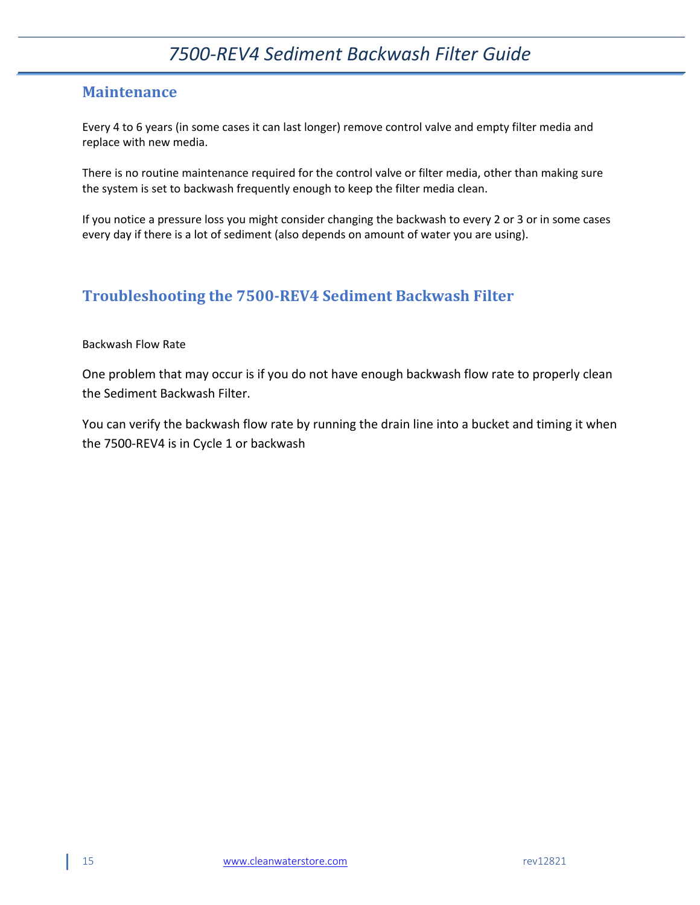### <span id="page-14-0"></span>**Maintenance**

Every 4 to 6 years (in some cases it can last longer) remove control valve and empty filter media and replace with new media.

There is no routine maintenance required for the control valve or filter media, other than making sure the system is set to backwash frequently enough to keep the filter media clean.

If you notice a pressure loss you might consider changing the backwash to every 2 or 3 or in some cases every day if there is a lot of sediment (also depends on amount of water you are using).

## <span id="page-14-1"></span>**Troubleshooting the 7500-REV4 Sediment Backwash Filter**

#### Backwash Flow Rate

One problem that may occur is if you do not have enough backwash flow rate to properly clean the Sediment Backwash Filter.

You can verify the backwash flow rate by running the drain line into a bucket and timing it when the 7500-REV4 is in Cycle 1 or backwash